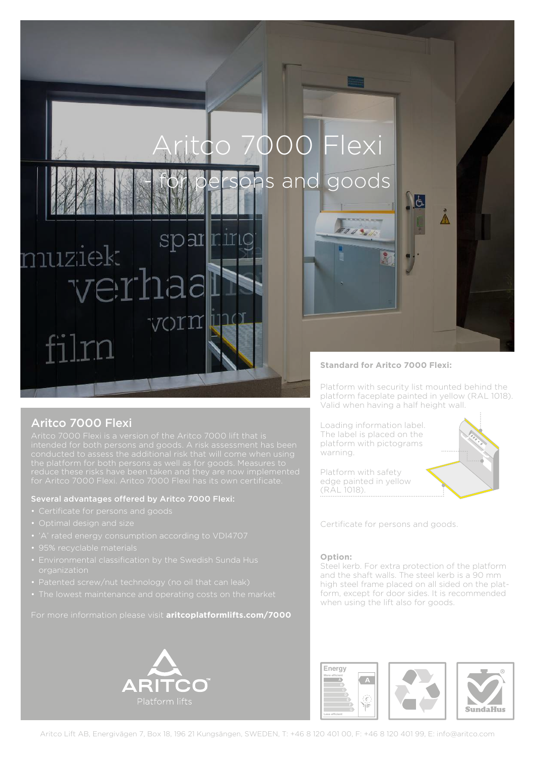# itco 7000 Flexi

ons and goods

Eris

#### Aritco 7000 Flexi

nuziek

Aritco 7000 Flexi is a version of the Aritco 7000 lift that is

sparrin

")TN

#### Several advantages offered by Aritco 7000 Flexi:

ern

- 
- 
- 
- 95% recyclable materials
- 
- 
- 

#### For more information please visit **aritcoplatformlifts.com/7000**



#### **Standard for Aritco 7000 Flexi:**

Platform with security list mounted behind the platform faceplate painted in yellow (RAL 1018). Valid when having a half height wall.

 $\Lambda$ 

Loading information label. The label is placed on the platform with pictograms warning.



Platform with safety edge painted in yellow (RAL 1018).

Certificate for persons and goods.

#### **Option:**

Steel kerb. For extra protection of the platform and the shaft walls. The steel kerb is a 90 mm high steel frame placed on all sided on the platform, except for door sides. It is recommended when using the lift also for goods.